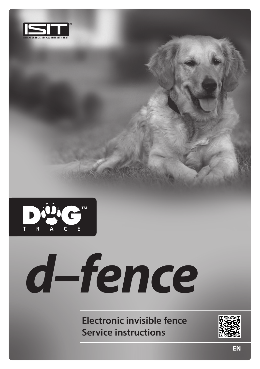



# *d–fence*

**Electronic invisible fence Service instructions**

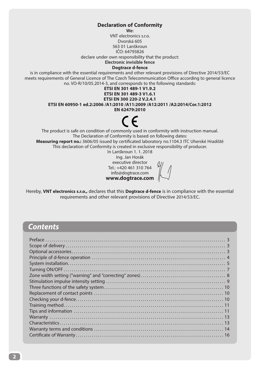### **Declaration of Conformity**

**We:**

VNT electronics s.r.o. Dvorská 605 563 01 Lanškroun IČO: 64793826 declare under own responsibility that the product: **Electronic invisible fence** 

**Dogtrace d-fence**

is in compliance with the essential requirements and other relevant provisions of Directive 2014/53/EC meets requirements of General Licence of The Czech Telecommunication Office according to general licence no. VO-R/10/05.2014-3, and corresponds to the following standards:

### **ETSI EN 301 489-1 V1.9.2**

**ETSI EN 301 489-3 V1.6.1**

**ETSI EN 300 220-2 V.2.4.1**

**ETSI EN 60950-1 ed.2:2006 /A1:2010 /A11:2009 /A12:2011 /A2:2014/Cor.1:2012**

**EN 62479:2010**

The product is safe on condition of commonly used in conformity with instruction manual. The Declaration of Conformity is based on following dates: **Measuring report no.:** 3606/05 issued by certificated laboratory no.1104.3 ITC Uherské Hradiště This declaration of Conformity is created in exclusive responsibility of producer.

In Lanškroun 1. 1. 2018

Ing. Jan Horák executive director Tel.: +420 461 310 764 info@dogtrace.com **www.dogtrace.com**

Hereby, **VNT electronics s.r.o.,** declares that this **Dogtrace d-fence** is in compliance with the essential requirements and other relevant provisions of Directive 2014/53/EC.

# *Contents*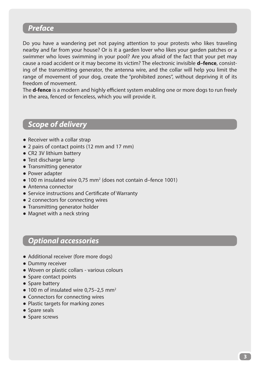# *Preface*

Do you have a wandering pet not paying attention to your protests who likes traveling nearby and far from your house? Or is it a garden lover who likes your garden patches or a swimmer who loves swimming in your pool? Are you afraid of the fact that your pet may cause a road accident or it may become its victim? The electronic invisible **d–fence**, consisting of the transmitting generator, the antenna wire, and the collar will help you limit the range of movement of your dog, create the "prohibited zones", without depriving it of its freedom of movement.

The **d-fence** is a modern and highly efficient system enabling one or more dogs to run freely in the area, fenced or fenceless, which you will provide it.

# *Scope of delivery*

- Receiver with a collar strap
- 2 pairs of contact points (12 mm and 17 mm)
- CR2 3V lithium battery
- Test discharge lamp
- Transmitting generator
- Power adapter
- $\bullet$  100 m insulated wire 0,75 mm<sup>2</sup> (does not contain d-fence 1001)
- Antenna connector
- Service instructions and Certificate of Warranty
- 2 connectors for connecting wires
- Transmitting generator holder
- Magnet with a neck string

# *Optional accessories*

- Additional receiver (fore more dogs)
- Dummy receiver
- Woven or plastic collars various colours
- Spare contact points
- Spare battery
- $\bullet$  100 m of insulated wire 0,75-2,5 mm<sup>2</sup>
- Connectors for connecting wires
- Plastic targets for marking zones
- Spare seals
- Spare screws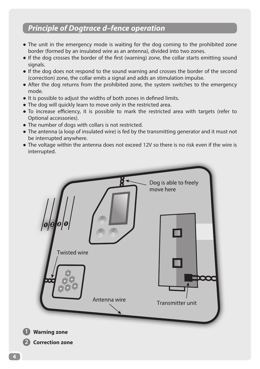# *Principle of Dogtrace d–fence operation*

- The unit in the emergency mode is waiting for the dog coming to the prohibited zone border (formed by an insulated wire as an antenna), divided into two zones.
- If the dog crosses the border of the first (warning) zone, the collar starts emitting sound signals.
- If the dog does not respond to the sound warning and crosses the border of the second (correction) zone, the collar emits a signal and adds an stimulation impulse.
- After the dog returns from the prohibited zone, the system switches to the emergency mode.
- It is possible to adjust the widths of both zones in defined limits.
- The dog will quickly learn to move only in the restricted area.
- To increase efficiency, it is possible to mark the restricted area with targets (refer to Optional accessories).
- The number of dogs with collars is not restricted.
- The antenna (a loop of insulated wire) is fed by the transmitting generator and it must not be interrupted anywhere.
- The voltage within the antenna does not exceed 12V so there is no risk even if the wire is interrupted.

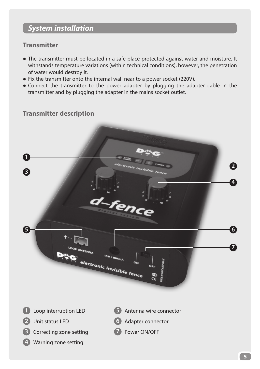# *System installation*

# **Transmitter**

- The transmitter must be located in a safe place protected against water and moisture. It withstands temperature variations (within technical conditions), however, the penetration of water would destroy it.
- Fix the transmitter onto the internal wall near to a power socket (220V).
- Connect the transmitter to the power adapter by plugging the adapter cable in the transmitter and by plugging the adapter in the mains socket outlet.

# **Transmitter description**

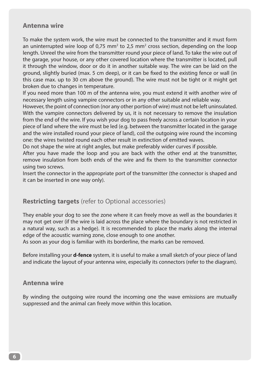# **Antenna wire**

To make the system work, the wire must be connected to the transmitter and it must form an uninterrupted wire loop of 0,75 mm<sup>2</sup> to 2,5 mm<sup>2</sup> cross section, depending on the loop length. Unreel the wire from the transmitter round your piece of land. To take the wire out of the garage, your house, or any other covered location where the transmitter is located, pull it through the window, door or do it in another suitable way. The wire can be laid on the ground, slightly buried (max. 5 cm deep), or it can be fixed to the existing fence or wall (in this case max. up to 30 cm above the ground). The wire must not be tight or it might get broken due to changes in temperature.

If you need more than 100 m of the antenna wire, you must extend it with another wire of necessary length using vampire connectors or in any other suitable and reliable way.

However, the point of connection (nor any other portion of wire) must not be left uninsulated. With the vampire connectors delivered by us, it is not necessary to remove the insulation from the end of the wire. If you wish your dog to pass freely across a certain location in your piece of land where the wire must be led (e.g. between the transmitter located in the garage and the wire installed round your piece of land), coil the outgoing wire round the incoming one: the wires twisted round each other result in extinction of emitted waves.

Do not shape the wire at right angles, but make preferably wider curves if possible.

After you have made the loop and you are back with the other end at the transmitter, remove insulation from both ends of the wire and fix them to the transmitter connector using two screws.

Insert the connector in the appropriate port of the transmitter (the connector is shaped and it can be inserted in one way only).

# **Restricting targets** (refer to Optional accessories)

They enable your dog to see the zone where it can freely move as well as the boundaries it may not get over (if the wire is laid across the place where the boundary is not restricted in a natural way, such as a hedge). It is recommended to place the marks along the internal edge of the acoustic warning zone, close enough to one another.

As soon as your dog is familiar with its borderline, the marks can be removed.

Before installing your **d-fence** system, it is useful to make a small sketch of your piece of land and indicate the layout of your antenna wire, especially its connectors (refer to the diagram).

# **Antenna wire**

By winding the outgoing wire round the incoming one the wave emissions are mutually suppressed and the animal can freely move within this location.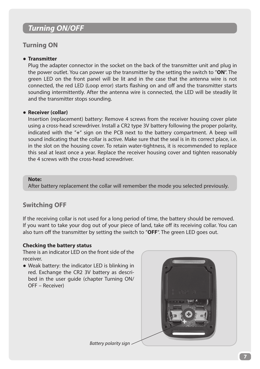# *Turning ON/OFF*

# **Turning ON**

### ● **Transmitter**

Plug the adapter connector in the socket on the back of the transmitter unit and plug in the power outlet. You can power up the transmitter by the setting the switch to "**ON**". The green LED on the front panel will be lit and in the case that the antenna wire is not connected, the red LED (Loop error) starts flashing on and off and the transmitter starts sounding intermittently. After the antenna wire is connected, the LED will be steadily lit and the transmitter stops sounding.

### ● **Receiver (collar)**

Insertion (replacement) battery: Remove 4 screws from the receiver housing cover plate using a cross-head screwdriver. Install a CR2 type 3V battery following the proper polarity, indicated with the "**+**" sign on the PCB next to the battery compartment. A beep will sound indicating that the collar is active. Make sure that the seal is in its correct place, i.e. in the slot on the housing cover. To retain water-tightness, it is recommended to replace this seal at least once a year. Replace the receiver housing cover and tighten reasonably the 4 screws with the cross-head screwdriver.

### **Note:**

After battery replacement the collar will remember the mode you selected previously.

# **Switching OFF**

If the receiving collar is not used for a long period of time, the battery should be removed. If you want to take your dog out of your piece of land, take off its receiving collar. You can also turn off the transmitter by setting the switch to "**OFF**". The green LED goes out.

### **Checking the battery status**

There is an indicator LED on the front side of the receiver.

● Weak battery: the indicator LED is blinking in red. Exchange the CR2 3V battery as described in the user guide (chapter Turning ON/ OFF – Receiver)



*Battery polarity sign*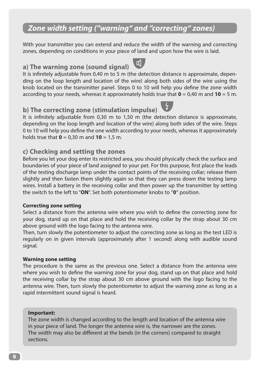# *Zone width setting ("warning" and "correcting" zones)*

With your transmitter you can extend and reduce the width of the warning and correcting zones, depending on conditions in your piece of land and upon how the wire is laid.

# **a) The warning zone (sound signal)**

It is infinitely adjustable from 0,40 m to 5 m (the detection distance is approximate, depending on the loop length and location of the wire) along both sides of the wire using the knob located on the transmitter panel. Steps 0 to 10 will help you define the zone width according to your needs, whereas it approximately holds true that **0** = 0,40 m and **10** = 5 m.

# **b) The correcting zone (stimulation impulse)**

It is infinitely adjustable from 0,30 m to 1,50 m (the detection distance is approximate, depending on the loop length and location of the wire) along both sides of the wire. Steps 0 to 10 will help you define the one width according to your needs, whereas it approximately holds true that **0** = 0,30 m and **10** = 1,5 m.

# **c) Checking and setting the zones**

Before you let your dog enter its restricted area, you should physically check the surface and boundaries of your piece of land assigned to your pet. For this purpose, first place the leads of the testing discharge lamp under the contact points of the receiving collar; release them slightly and then fasten them slightly again so that they can press down the testing lamp wires. Install a battery in the receiving collar and then power up the transmitter by setting the switch to the left to "**ON**". Set both potentiometer knobs to "**0**" position.

### **Correcting zone setting**

Select a distance from the antenna wire where you wish to define the correcting zone for your dog, stand up on that place and hold the receiving collar by the strap about 30 cm above ground with the logo facing to the antenna wire.

Then, turn slowly the potentiometer to adjust the correcting zone as long as the test LED is regularly on in given intervals (approximately after 1 second) along with audible sound signal.

### **Warning zone setting**

The procedure is the same as the previous one. Select a distance from the antenna wire where you wish to define the warning zone for your dog, stand up on that place and hold the receiving collar by the strap about 30 cm above ground with the logo facing to the antenna wire. Then, turn slowly the potentiometer to adjust the warning zone as long as a rapid intermittent sound signal is heard.

### **Important:**

The zone width is changed according to the length and location of the antenna wire in your piece of land. The longer the antenna wire is, the narrower are the zones. The width may also be different at the bends (in the corners) compared to straight sections.

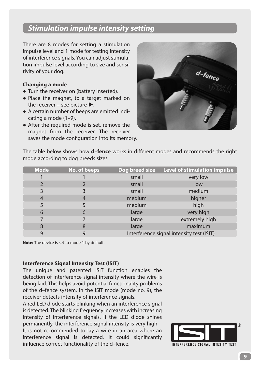# *Stimulation impulse intensity setting*

There are 8 modes for setting a stimulation impulse level and 1 mode for testing intensity of interference signals. You can adjust stimulation impulse level according to size and sensitivity of your dog.

### **Changing a mode**

- Turn the receiver on (battery inserted).
- Place the magnet, to a target marked on the receiver – see picture  $\blacktriangleright$ .
- A certain number of beeps are emitted indicating a mode (1–9).
- After the required mode is set, remove the magnet from the receiver. The receiver saves the mode configuration into its memory.



The table below shows how **d–fence** works in different modes and recommends the right mode according to dog breeds sizes.

| <b>Mode</b>    | No. of beeps | Dog breed size | <b>Level of stimulation impulse</b>       |
|----------------|--------------|----------------|-------------------------------------------|
|                |              | small          | very low                                  |
|                |              | small          | low                                       |
| 3              |              | small          | medium                                    |
| $\overline{4}$ | 4            | medium         | higher                                    |
| 5              |              | medium         | high                                      |
| 6              | 6            | large          | very high                                 |
|                |              | large          | extremely high                            |
| 8              | 8            | large          | maximum                                   |
| 9              | 9            |                | Interference signal intensity test (ISIT) |

**Note:** The device is set to mode 1 by default.

### **Interference Signal Intensity Test (ISIT)**

The unique and patented ISIT function enables the detection of interference signal intensity where the wire is being laid. This helps avoid potential functionality problems of the d–fence system. In the ISIT mode (mode no. 9), the receiver detects intensity of interference signals.

A red LED diode starts blinking when an interference signal is detected. The blinking frequency increases with increasing intensity of interference signals. If the LED diode shines permanently, the interference signal intensity is very high.

It is not recommended to lay a wire in an area where an interference signal is detected. It could significantly influence correct functionality of the d–fence.

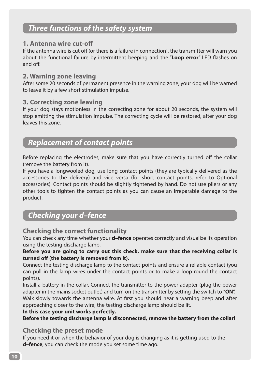# *Three functions of the safety system*

# **1. Antenna wire cut-off**

If the antenna wire is cut off (or there is a failure in connection), the transmitter will warn you about the functional failure by intermittent beeping and the "**Loop error**" LED flashes on and off.

# **2. Warning zone leaving**

After some 20 seconds of permanent presence in the warning zone, your dog will be warned to leave it by a few short stimulation impulse.

# **3. Correcting zone leaving**

If your dog stays motionless in the correcting zone for about 20 seconds, the system will stop emitting the stimulation impulse. The correcting cycle will be restored, after your dog leaves this zone.

# *Replacement of contact points*

Before replacing the electrodes, make sure that you have correctly turned off the collar (remove the battery from it).

If you have a longwooled dog, use long contact points (they are typically delivered as the accessories to the delivery) and vice versa (for short contact points, refer to Optional accessories). Contact points should be slightly tightened by hand. Do not use pliers or any other tools to tighten the contact points as you can cause an irreparable damage to the product.

# *Checking your d–fence*

# **Checking the correct functionality**

You can check any time whether your **d–fence** operates correctly and visualize its operation using the testing discharge lamp.

**Before you are going to carry out this check, make sure that the receiving collar is turned off (the battery is removed from it).**

Connect the testing discharge lamp to the contact points and ensure a reliable contact (you can pull in the lamp wires under the contact points or to make a loop round the contact points).

Install a battery in the collar. Connect the transmitter to the power adapter (plug the power adapter in the mains socket outlet) and turn on the transmitter by setting the switch to "**ON**". Walk slowly towards the antenna wire. At first you should hear a warning beep and after approaching closer to the wire, the testing discharge lamp should be lit.

### **In this case your unit works perfectly.**

**Before the testing discharge lamp is disconnected, remove the battery from the collar!**

# **Checking the preset mode**

If you need it or when the behavior of your dog is changing as it is getting used to the **d–fence**, you can check the mode you set some time ago.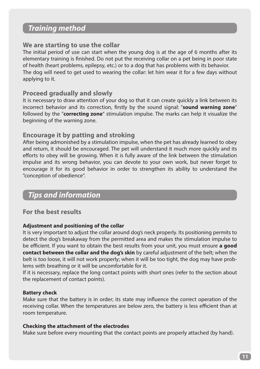# *Training method*

# **We are starting to use the collar**

The initial period of use can start when the young dog is at the age of 6 months after its elementary training is finished. Do not put the receiving collar on a pet being in poor state of health (heart problems, epilepsy, etc.) or to a dog that has problems with its behavior. The dog will need to get used to wearing the collar: let him wear it for a few days without applying to it.

### **Proceed gradually and slowly**

It is necessary to draw attention of your dog so that it can create quickly a link between its incorrect behavior and its correction, firstly by the sound signal: "**sound warning zone**" followed by the "**correcting zone**" stimulation impulse. The marks can help it visualize the beginning of the warning zone.

# **Encourage it by patting and stroking**

After being admonished by a stimulation impulse, when the pet has already learned to obey and return, it should be encouraged. The pet will understand it much more quickly and its efforts to obey will be growing. When it is fully aware of the link between the stimulation impulse and its wrong behavior, you can devote to your own work, but never forget to encourage it for its good behavior in order to strengthen its ability to understand the "conception of obedience".

# *Tips and information*

# **For the best results**

### **Adjustment and positioning of the collar**

It is very important to adjust the collar around dog's neck properly. Its positioning permits to detect the dog's breakaway from the permitted area and makes the stimulation impulse to be efficient. If you want to obtain the best results from your unit, you must ensure **a good contact between the collar and the dog's skin** by careful adjustment of the belt; when the belt is too loose, it will not work properly; when it will be too tight, the dog may have problems with breathing or it will be uncomfortable for it.

If it is necessary, replace the long contact points with short ones (refer to the section about the replacement of contact points).

### **Battery check**

Make sure that the battery is in order; its state may influence the correct operation of the receiving collar. When the temperatures are below zero, the battery is less efficient than at room temperature.

### **Checking the attachment of the electrodes**

Make sure before every mounting that the contact points are properly attached (by hand).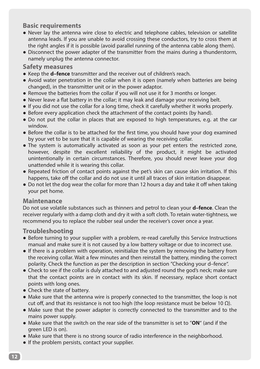# **Basic requirements**

- Never lay the antenna wire close to electric and telephone cables, television or satellite antenna leads. If you are unable to avoid crossing these conductors, try to cross them at the right angles if it is possible (avoid parallel running of the antenna cable along them).
- Disconnect the power adapter of the transmitter from the mains during a thunderstorm, namely unplug the antenna connector.

# **Safety measures**

- Keep the **d–fence** transmitter and the receiver out of children's reach.
- Avoid water penetration in the collar when it is open (namely when batteries are being changed), in the transmitter unit or in the power adaptor.
- Remove the batteries from the collar if you will not use it for 3 months or longer.
- Never leave a flat battery in the collar; it may leak and damage your receiving belt.
- If you did not use the collar for a long time, check it carefully whether it works properly.
- Before every application check the attachment of the contact points (by hand).
- Do not put the collar in places that are exposed to high temperatures, e.g. at the car window.
- Before the collar is to be attached for the first time, you should have your dog examined by your vet to be sure that it is capable of wearing the receiving collar.
- The system is automatically activated as soon as your pet enters the restricted zone, however, despite the excellent reliability of the product, it might be activated unintentionally in certain circumstances. Therefore, you should never leave your dog unattended while it is wearing this collar.
- Repeated friction of contact points against the pet's skin can cause skin irritation. If this happens, take off the collar and do not use it until all traces of skin irritation disappear.
- Do not let the dog wear the collar for more than 12 hours a day and take it off when taking your pet home.

# **Maintenance**

Do not use volatile substances such as thinners and petrol to clean your **d–fence**. Clean the receiver regularly with a damp cloth and dry it with a soft cloth. To retain water-tightness, we recommend you to replace the rubber seal under the receiver's cover once a year.

# **Troubleshooting**

- Before turning to your supplier with a problem, re-read carefully this Service Instructions manual and make sure it is not caused by a low battery voltage or due to incorrect use.
- If there is a problem with operation, reinitialize the system by removing the battery from the receiving collar. Wait a few minutes and then reinstall the battery, minding the correct polarity. Check the function as per the description in section "Checking your d–fence".
- Check to see if the collar is duly attached to and adjusted round the god's neck; make sure that the contact points are in contact with its skin. If necessary, replace short contact points with long ones.
- Check the state of battery.
- Make sure that the antenna wire is properly connected to the transmitter, the loop is not cut off, and that its resistance is not too high (the loop resistance must be below 10 Ω).
- Make sure that the power adapter is correctly connected to the transmitter and to the mains power supply.
- Make sure that the switch on the rear side of the transmitter is set to "**ON**" (and if the green LED is on).
- Make sure that there is no strong source of radio interference in the neighborhood.
- If the problem persists, contact your supplier.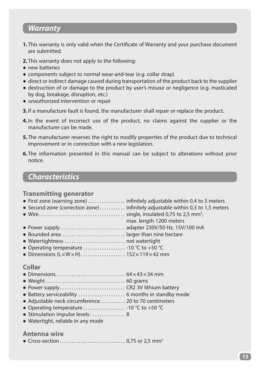# *Warranty*

- **1.** This warranty is only valid when the Certificate of Warranty and your purchase document are submitted.
- **2.** This warranty does not apply to the following:
- new batteries
- components subject to normal wear-and-tear (e.g. collar strap)
- direct or indirect damage caused during transportation of the product back to the supplier
- destruction of or damage to the product by user's misuse or negligence (e.g. masticated by dog, breakage, disruption, etc.)
- unauthorized intervention or repair
- **3.**If a manufacture fault is found, the manufacturer shall repair or replace the product.
- **4.**In the event of incorrect use of the product, no claims against the supplier or the manufacturer can be made.
- **5.** The manufacturer reserves the right to modify properties of the product due to technical improvement or in connection with a new legislation.
- **6.** The information presented in this manual can be subject to alterations without prior notice.

# *Characteristics*

## **Transmitting generator**

| • First zone (warning zone) $\dots\dots\dots\dots\dots$ infinitely adjustable within 0,4 to 5 meters |                                                                                |
|------------------------------------------------------------------------------------------------------|--------------------------------------------------------------------------------|
|                                                                                                      | • Second zone (correction zone) infinitely adjustable within 0,3 to 1,5 meters |
|                                                                                                      |                                                                                |
|                                                                                                      | max. length 1200 meters                                                        |
|                                                                                                      |                                                                                |
| • Bounded area  larger than nine hectare                                                             |                                                                                |
|                                                                                                      |                                                                                |
|                                                                                                      |                                                                                |
|                                                                                                      |                                                                                |

# **Collar**

- Dimensions . . . . . . . . . . . . . . . . . . . . . . . . . . . . . . 64×43×34 mm ● Weight . . . . . . . . . . . . . . . . . . . . . . . . . . . . . . . . . . 60 grams
- Power supply . . . . . . . . . . . . . . . . . . . . . . . . . . . . CR2 3V lithium battery
- Battery serviceability ......................... 6 months in standby mode
- Adjustable neck circumference........... 20 to 70 centimeters
- Operating temperature . . . . . . . . . . . . . . . . . 10 °C to +50 °C
- Stimulation impulse levels . . . . . . . . . . . . . . . 8
- Watertight, reliable in any mode

### **Antenna wire**

● Cross-section . . . . . . . . . . . . . . . . . . . . . . . . . . . . 0,75 or 2,5 mm2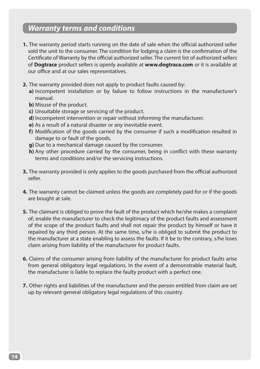# *Warranty terms and conditions*

- **1.** The warranty period starts running on the date of sale when the official authorized seller sold the unit to the consumer. The condition for lodging a claim is the confirmation of the Certificate of Warranty by the official authorized seller. The current list of authorized sellers of **Dogtrace** product sellers is openly available at **www.dogtrace.com** or it is available at our office and at our sales representatives.
- **2.** The warranty provided does not apply to product faults caused by:
	- **a)** Incompetent installation or by failure to follow instructions in the manufacturer's manual.
	- **b)** Misuse of the product.
	- **c)** Unsuitable storage or servicing of the product.
	- **d)** Incompetent intervention or repair without informing the manufacturer.
	- **e)** As a result of a natural disaster or any inevitable event.
	- **f)** Modification of the goods carried by the consumer if such a modification resulted in damage to or fault of the goods.
	- **g)** Due to a mechanical damage caused by the consumer.
	- **h)** Any other procedure carried by the consumer, being in conflict with these warranty terms and conditions and/or the servicing instructions.
- **3.** The warranty provided is only applies to the goods purchased from the official authorized seller.
- **4.** The warranty cannot be claimed unless the goods are completely paid for or if the goods are bought at sale.
- **5.** The claimant is obliged to prove the fault of the product which he/she makes a complaint of; enable the manufacturer to check the legitimacy of the product faults and assessment of the scope of the product faults and shall not repair the product by himself or have it repaired by any third person. At the same time, s/he is obliged to submit the product to the manufacturer at a state enabling to assess the faults. If it be to the contrary, s/he loses claim arising from liability of the manufacturer for product faults.
- **6.** Claims of the consumer arising from liability of the manufacturer for product faults arise from general obligatory legal regulations. In the event of a demonstrable material fault, the manufacturer is liable to replace the faulty product with a perfect one.
- **7.** Other rights and liabilities of the manufacturer and the person entitled from claim are set up by relevant general obligatory legal regulations of this country.